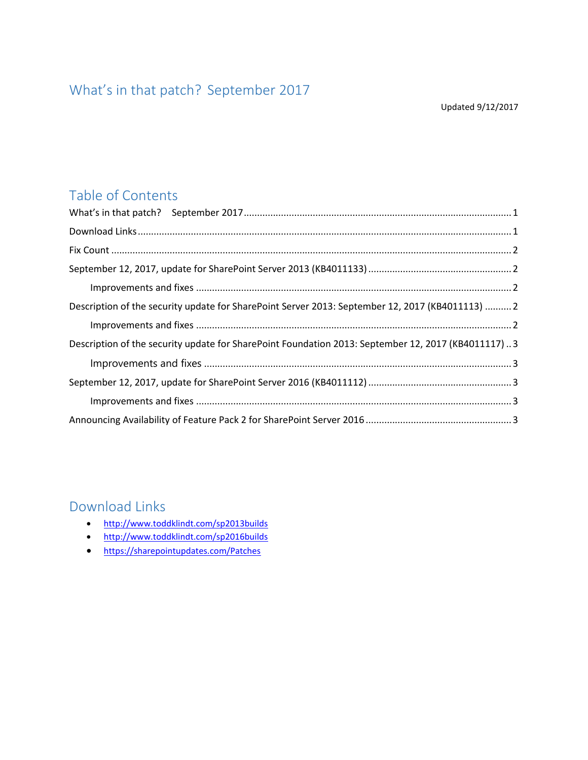# <span id="page-0-0"></span>What's in that patch? September 2017

Updated 9/12/2017

### Table of Contents

| Description of the security update for SharePoint Server 2013: September 12, 2017 (KB4011113)  2   |  |
|----------------------------------------------------------------------------------------------------|--|
|                                                                                                    |  |
| Description of the security update for SharePoint Foundation 2013: September 12, 2017 (KB4011117)3 |  |
|                                                                                                    |  |
|                                                                                                    |  |
|                                                                                                    |  |
|                                                                                                    |  |

### <span id="page-0-1"></span>Download Links

- <http://www.toddklindt.com/sp2013builds>
- <http://www.toddklindt.com/sp2016builds>
- <https://sharepointupdates.com/Patches>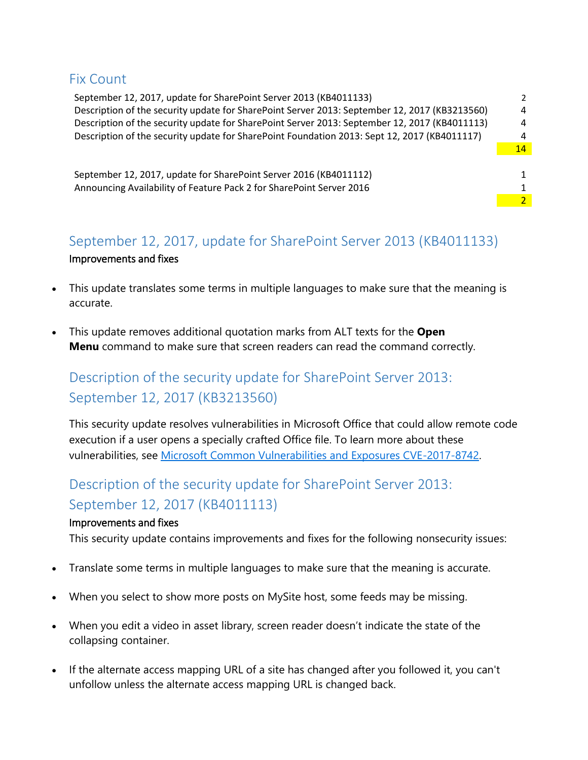### <span id="page-1-0"></span>Fix Count

| September 12, 2017, update for SharePoint Server 2013 (KB4011133)                             |    |
|-----------------------------------------------------------------------------------------------|----|
| Description of the security update for SharePoint Server 2013: September 12, 2017 (KB3213560) | 4  |
| Description of the security update for SharePoint Server 2013: September 12, 2017 (KB4011113) | 4  |
| Description of the security update for SharePoint Foundation 2013: Sept 12, 2017 (KB4011117)  | 4  |
|                                                                                               | 14 |
|                                                                                               |    |
| September 12, 2017, update for SharePoint Server 2016 (KB4011112)                             |    |
| Announcing Availability of Feature Pack 2 for SharePoint Server 2016                          |    |
|                                                                                               |    |
|                                                                                               |    |

## <span id="page-1-2"></span><span id="page-1-1"></span>September 12, 2017, update for SharePoint Server 2013 (KB4011133) Improvements and fixes

- This update translates some terms in multiple languages to make sure that the meaning is accurate.
- This update removes additional quotation marks from ALT texts for the **Open Menu** command to make sure that screen readers can read the command correctly.

## Description of the security update for SharePoint Server 2013: September 12, 2017 (KB3213560)

This security update resolves vulnerabilities in Microsoft Office that could allow remote code execution if a user opens a specially crafted Office file. To learn more about these vulnerabilities, see [Microsoft Common Vulnerabilities and Exposures CVE-2017-8742.](https://portal.msrc.microsoft.com/en-US/security-guidance/advisory/CVE-2017-8742)

# <span id="page-1-3"></span>Description of the security update for SharePoint Server 2013: September 12, 2017 (KB4011113)

### <span id="page-1-4"></span>Improvements and fixes

This security update contains improvements and fixes for the following nonsecurity issues:

- Translate some terms in multiple languages to make sure that the meaning is accurate.
- When you select to show more posts on MySite host, some feeds may be missing.
- When you edit a video in asset library, screen reader doesn't indicate the state of the collapsing container.
- If the alternate access mapping URL of a site has changed after you followed it, you can't unfollow unless the alternate access mapping URL is changed back.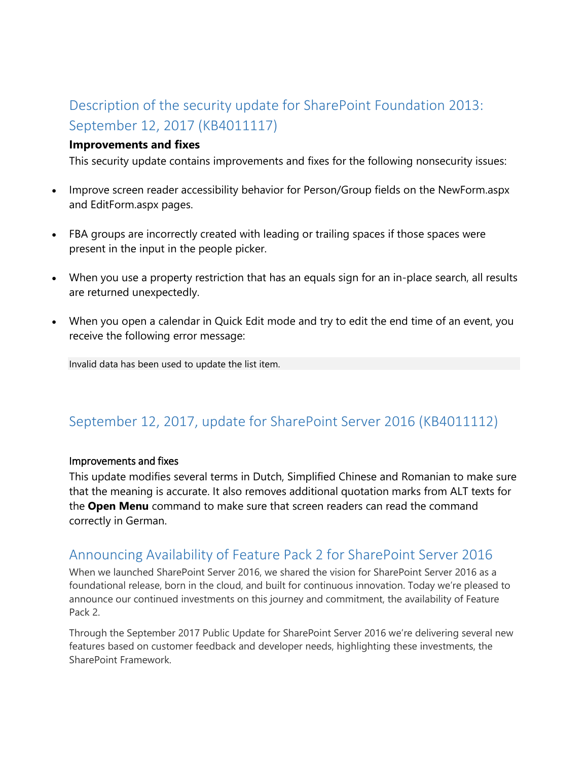# <span id="page-2-0"></span>Description of the security update for SharePoint Foundation 2013: September 12, 2017 (KB4011117)

### <span id="page-2-1"></span>**Improvements and fixes**

This security update contains improvements and fixes for the following nonsecurity issues:

- Improve screen reader accessibility behavior for Person/Group fields on the NewForm.aspx and EditForm.aspx pages.
- FBA groups are incorrectly created with leading or trailing spaces if those spaces were present in the input in the people picker.
- When you use a property restriction that has an equals sign for an in-place search, all results are returned unexpectedly.
- When you open a calendar in Quick Edit mode and try to edit the end time of an event, you receive the following error message:

Invalid data has been used to update the list item.

### <span id="page-2-2"></span>September 12, 2017, update for SharePoint Server 2016 (KB4011112)

#### <span id="page-2-3"></span>Improvements and fixes

This update modifies several terms in Dutch, Simplified Chinese and Romanian to make sure that the meaning is accurate. It also removes additional quotation marks from ALT texts for the **Open Menu** command to make sure that screen readers can read the command correctly in German.

### <span id="page-2-4"></span>Announcing Availability of Feature Pack 2 for SharePoint Server 2016

When we launched SharePoint Server 2016, we shared the vision for SharePoint Server 2016 as a foundational release, born in the cloud, and built for continuous innovation. Today we're pleased to announce our continued investments on this journey and commitment, the availability of Feature Pack 2.

Through the September 2017 Public Update for SharePoint Server 2016 we're delivering several new features based on customer feedback and developer needs, highlighting these investments, the SharePoint Framework.